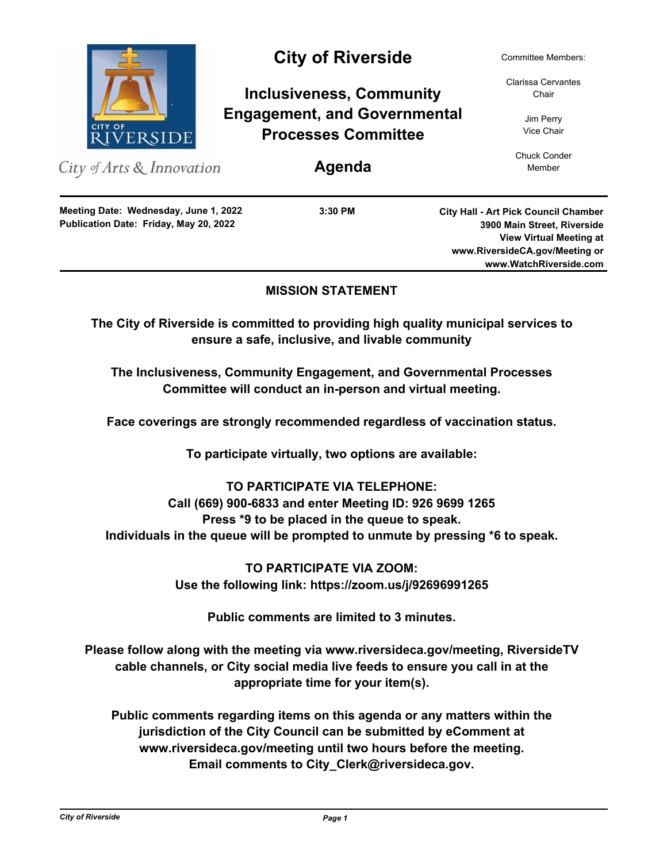

### **MISSION STATEMENT**

**The City of Riverside is committed to providing high quality municipal services to ensure a safe, inclusive, and livable community**

**The Inclusiveness, Community Engagement, and Governmental Processes Committee will conduct an in-person and virtual meeting.**

**Face coverings are strongly recommended regardless of vaccination status.**

**To participate virtually, two options are available:**

# **TO PARTICIPATE VIA TELEPHONE: Call (669) 900-6833 and enter Meeting ID: 926 9699 1265 Press \*9 to be placed in the queue to speak. Individuals in the queue will be prompted to unmute by pressing \*6 to speak.**

**TO PARTICIPATE VIA ZOOM: Use the following link: https://zoom.us/j/92696991265**

**Public comments are limited to 3 minutes.**

**Please follow along with the meeting via www.riversideca.gov/meeting, RiversideTV cable channels, or City social media live feeds to ensure you call in at the appropriate time for your item(s).**

**Public comments regarding items on this agenda or any matters within the jurisdiction of the City Council can be submitted by eComment at www.riversideca.gov/meeting until two hours before the meeting. Email comments to City\_Clerk@riversideca.gov.**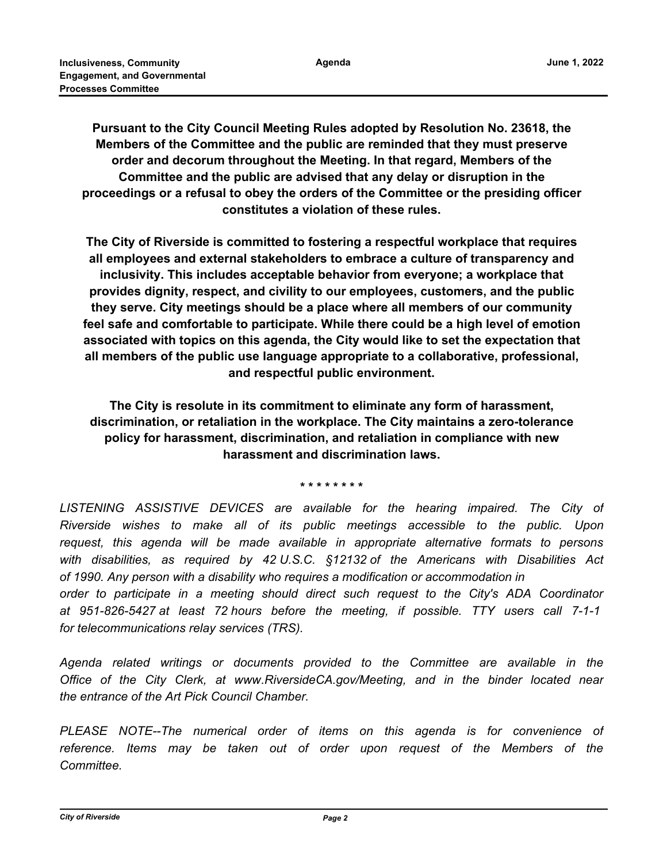**Agenda**

**Pursuant to the City Council Meeting Rules adopted by Resolution No. 23618, the Members of the Committee and the public are reminded that they must preserve order and decorum throughout the Meeting. In that regard, Members of the Committee and the public are advised that any delay or disruption in the proceedings or a refusal to obey the orders of the Committee or the presiding officer constitutes a violation of these rules.**

**The City of Riverside is committed to fostering a respectful workplace that requires all employees and external stakeholders to embrace a culture of transparency and inclusivity. This includes acceptable behavior from everyone; a workplace that provides dignity, respect, and civility to our employees, customers, and the public they serve. City meetings should be a place where all members of our community feel safe and comfortable to participate. While there could be a high level of emotion associated with topics on this agenda, the City would like to set the expectation that all members of the public use language appropriate to a collaborative, professional, and respectful public environment.**

**The City is resolute in its commitment to eliminate any form of harassment, discrimination, or retaliation in the workplace. The City maintains a zero-tolerance policy for harassment, discrimination, and retaliation in compliance with new harassment and discrimination laws.**

**\* \* \* \* \* \* \* \***

LISTENING ASSISTIVE DEVICES are available for the hearing impaired. The City of *Riverside wishes to make all of its public meetings accessible to the public. Upon request, this agenda will be made available in appropriate alternative formats to persons with disabilities, as required by 42 U.S.C. §12132 of the Americans with Disabilities Act of 1990. Any person with a disability who requires a modification or accommodation in order to participate in a meeting should direct such request to the City's ADA Coordinator at 951-826-5427 at least 72 hours before the meeting, if possible. TTY users call 7-1-1 for telecommunications relay services (TRS).*

*Agenda related writings or documents provided to the Committee are available in the Office of the City Clerk, at www.RiversideCA.gov/Meeting, and in the binder located near the entrance of the Art Pick Council Chamber.*

*PLEASE NOTE--The numerical order of items on this agenda is for convenience of reference. Items may be taken out of order upon request of the Members of the Committee.*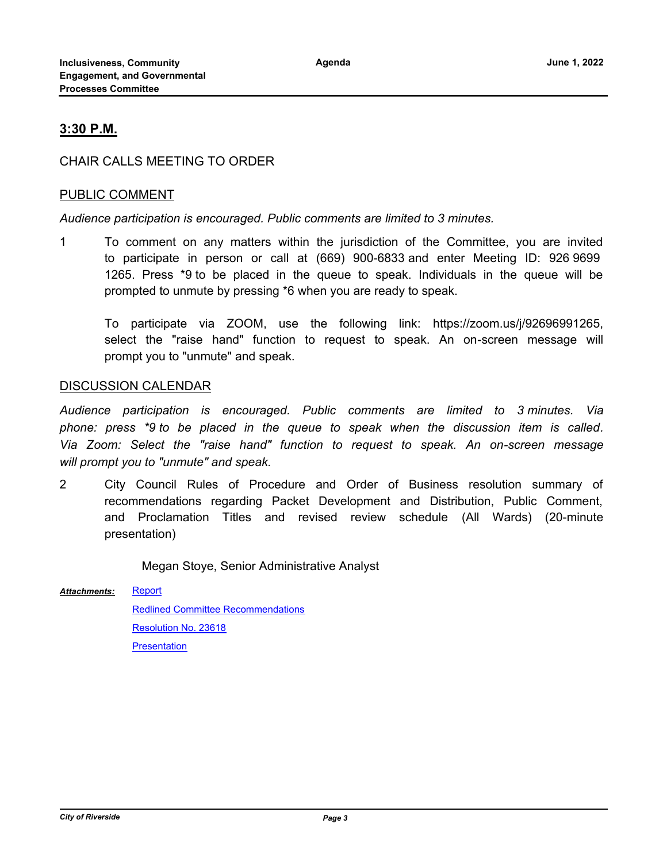## **3:30 P.M.**

## CHAIR CALLS MEETING TO ORDER

### PUBLIC COMMENT

#### *Audience participation is encouraged. Public comments are limited to 3 minutes.*

1 To comment on any matters within the jurisdiction of the Committee, you are invited to participate in person or call at (669) 900-6833 and enter Meeting ID: 926 9699 1265. Press \*9 to be placed in the queue to speak. Individuals in the queue will be prompted to unmute by pressing \*6 when you are ready to speak.

To participate via ZOOM, use the following link: https://zoom.us/j/92696991265, select the "raise hand" function to request to speak. An on-screen message will prompt you to "unmute" and speak.

#### DISCUSSION CALENDAR

*Audience participation is encouraged. Public comments are limited to 3 minutes. Via phone: press \*9 to be placed in the queue to speak when the discussion item is called. Via Zoom: Select the "raise hand" function to request to speak. An on-screen message will prompt you to "unmute" and speak.*

2 City Council Rules of Procedure and Order of Business resolution summary of recommendations regarding Packet Development and Distribution, Public Comment, and Proclamation Titles and revised review schedule (All Wards) (20-minute presentation)

Megan Stoye, Senior Administrative Analyst

**[Report](http://riversideca.legistar.com/gateway.aspx?M=F&ID=6f1ee02b-2fbf-4e10-b895-2b451fa970f9.docx)** *Attachments:*

> [Redlined Committee Recommendations](http://riversideca.legistar.com/gateway.aspx?M=F&ID=1ae8fee5-3677-4ee2-a09a-00d6a0f93fb2.pdf) [Resolution No. 23618](http://riversideca.legistar.com/gateway.aspx?M=F&ID=0dda56b1-f131-49dd-897d-e0561bf54993.pdf) **[Presentation](http://riversideca.legistar.com/gateway.aspx?M=F&ID=e7da0d5e-396e-49f8-829f-6b8efe9a244e.pptx)**